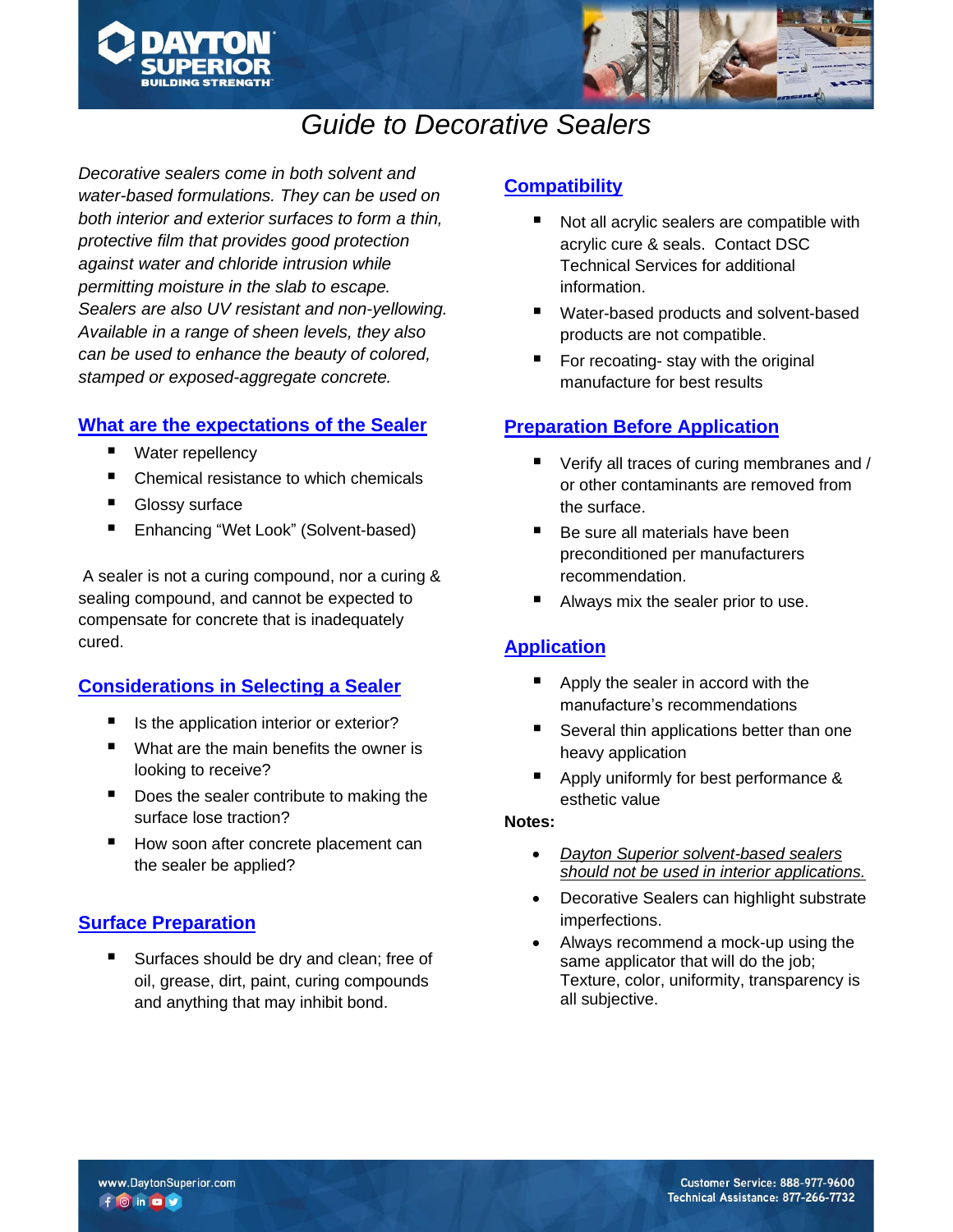



# *Guide to Decorative Sealers*

*Decorative sealers come in both solvent and water-based formulations. They can be used on both interior and exterior surfaces to form a thin, protective film that provides good protection against water and chloride intrusion while permitting moisture in the slab to escape. Sealers are also UV resistant and non-yellowing. Available in a range of sheen levels, they also can be used to enhance the beauty of colored, stamped or exposed-aggregate concrete.*

### **What are the expectations of the Sealer**

- Water repellency
- Chemical resistance to which chemicals
- **Glossy surface**
- Enhancing "Wet Look" (Solvent-based)

A sealer is not a curing compound, nor a curing & sealing compound, and cannot be expected to compensate for concrete that is inadequately cured.

## **Considerations in Selecting a Sealer**

- Is the application interior or exterior?
- What are the main benefits the owner is looking to receive?
- Does the sealer contribute to making the surface lose traction?
- How soon after concrete placement can the sealer be applied?

## **Surface Preparation**

Surfaces should be dry and clean; free of oil, grease, dirt, paint, curing compounds and anything that may inhibit bond.

## **Compatibility**

- Not all acrylic sealers are compatible with acrylic cure & seals. Contact DSC Technical Services for additional information.
- Water-based products and solvent-based products are not compatible.
- For recoating- stay with the original manufacture for best results

## **Preparation Before Application**

- Verify all traces of curing membranes and / or other contaminants are removed from the surface.
- Be sure all materials have been preconditioned per manufacturers recommendation.
- Always mix the sealer prior to use.

## **Application**

- Apply the sealer in accord with the manufacture's recommendations
- Several thin applications better than one heavy application
- Apply uniformly for best performance & esthetic value

#### **Notes:**

- *Dayton Superior solvent-based sealers should not be used in interior applications.*
- Decorative Sealers can highlight substrate imperfections.
- Always recommend a mock-up using the same applicator that will do the job; Texture, color, uniformity, transparency is all subjective.